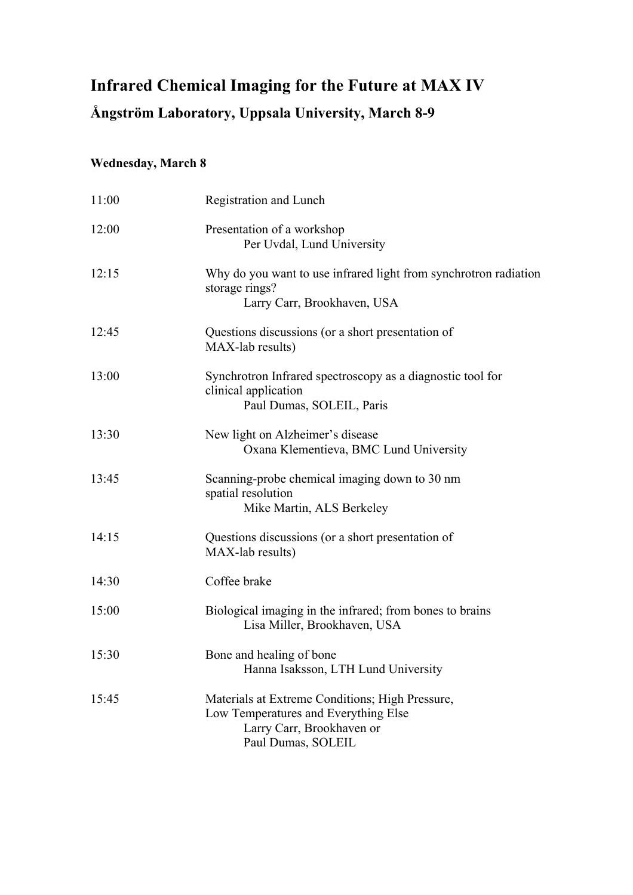## **Infrared Chemical Imaging for the Future at MAX IV**

## **Ångström Laboratory, Uppsala University, March 8-9**

## **Wednesday, March 8**

| 11:00 | Registration and Lunch                                                                                                                     |
|-------|--------------------------------------------------------------------------------------------------------------------------------------------|
| 12:00 | Presentation of a workshop<br>Per Uvdal, Lund University                                                                                   |
| 12:15 | Why do you want to use infrared light from synchrotron radiation<br>storage rings?<br>Larry Carr, Brookhaven, USA                          |
| 12:45 | Questions discussions (or a short presentation of<br>MAX-lab results)                                                                      |
| 13:00 | Synchrotron Infrared spectroscopy as a diagnostic tool for<br>clinical application<br>Paul Dumas, SOLEIL, Paris                            |
| 13:30 | New light on Alzheimer's disease<br>Oxana Klementieva, BMC Lund University                                                                 |
| 13:45 | Scanning-probe chemical imaging down to 30 nm<br>spatial resolution<br>Mike Martin, ALS Berkeley                                           |
| 14:15 | Questions discussions (or a short presentation of<br>MAX-lab results)                                                                      |
| 14:30 | Coffee brake                                                                                                                               |
| 15:00 | Biological imaging in the infrared; from bones to brains<br>Lisa Miller, Brookhaven, USA                                                   |
| 15:30 | Bone and healing of bone<br>Hanna Isaksson, LTH Lund University                                                                            |
| 15:45 | Materials at Extreme Conditions; High Pressure,<br>Low Temperatures and Everything Else<br>Larry Carr, Brookhaven or<br>Paul Dumas, SOLEIL |